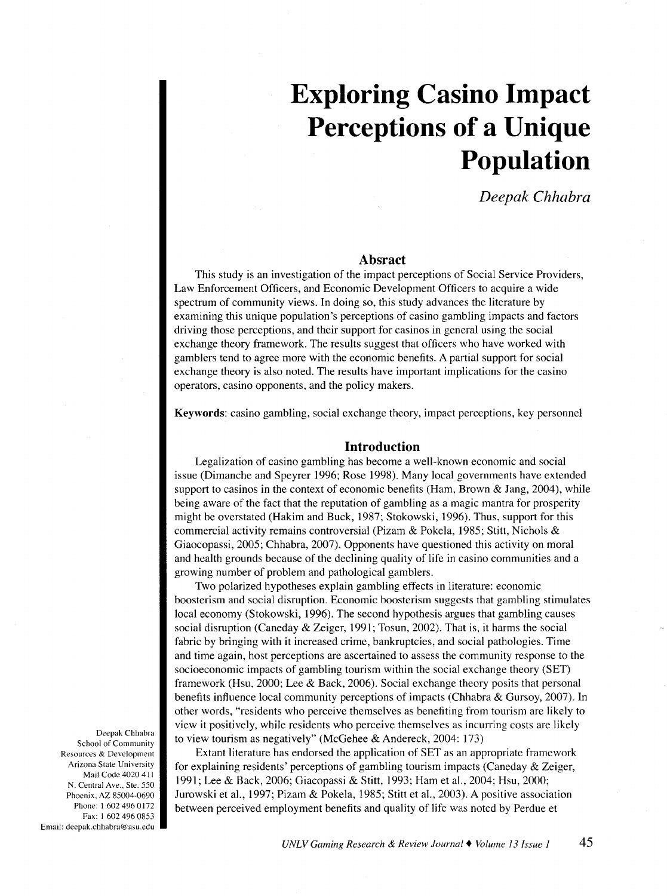# **Exploring Casino Impact Perceptions of a Unique Population**

*Deepak Chhabra* 

## **Absract**

This study is an investigation of the impact perceptions of Social Service Providers, Law Enforcement Officers, and Economic Development Officers to acquire a wide spectrum of community views. In doing so, this study advances the literature by examining this unique population's perceptions of casino gambling impacts and factors driving those perceptions, and their support for casinos in general using the social exchange theory framework. The results suggest that officers who have worked with gamblers tend to agree more with the economic benefits. A partial support for social exchange theory is also noted. The results have important implications for the casino operators, casino opponents, and the policy makers.

Keywords: casino gambling, social exchange theory, impact perceptions, key personnel

# **Introduction**

Legalization of casino gambling has become a well-known economic and social issue (Dimanche and Speyrer 1996; Rose 1998). Many local governments have extended support to casinos in the context of economic benefits (Ham, Brown & Jang, 2004), while being aware of the fact that the reputation of gambling as a magic mantra for prosperity might be overstated (Hakim and Buck, 1987; Stokowski, 1996). Thus, support for this commercial activity remains controversial (Pizam & Pokela, 1985; Stitt, Nichols & Giaocopassi, 2005; Chhabra, 2007). Opponents have questioned this activity on moral and health grounds because of the declining quality of life in casino communities and a growing number of problem and pathological gamblers.

Two polarized hypotheses explain gambling effects in literature: economic boosterism and social disruption. Economic boosterism suggests that gambling stimulates local economy (Stokowski, 1996). The second hypothesis argues that gambling causes social disruption (Caneday & Zeiger, 1991; Tosun, 2002). That is, it harms the social fabric by bringing with it increased crime, bankruptcies, and social pathologies. Time and time again, host perceptions are ascertained to assess the community response to the socioeconomic impacts of gambling tourism within the social exchange theory (SET) framework (Hsu, 2000; Lee & Back, 2006). Social exchange theory posits that personal benefits influence local community perceptions of impacts (Chhabra & Gursoy, 2007). In other words, "residents who perceive themselves as benefiting from tourism are likely to view it positively, while residents who perceive themselves as incurring costs are likely to view tourism as negatively" (McGehee & Andereck, 2004: 173)

Extant literature has endorsed the application of SET as an appropriate framework for explaining residents' perceptions of gambling tourism impacts (Caneday & Zeiger, 1991; Lee & Back, 2006; Giacopassi & Stitt, 1993; Ham et al., 2004; Hsu, 2000; Jurowski et al., 1997; Pizam & Pokela, 1985; Stitt et al., 2003). A positive association between perceived employment benefits and quality of life was noted by Perdue et

Deepak Chhabra School of Community Resources & Development Arizona State University Mail Code 4020 411 N. Central Ave., Ste. 550 Phoenix, AZ 85004-0690 Phone: 1 602 496 0172 Fax: 1 602 496 0853 Email: deepak.chhabra@asu.edu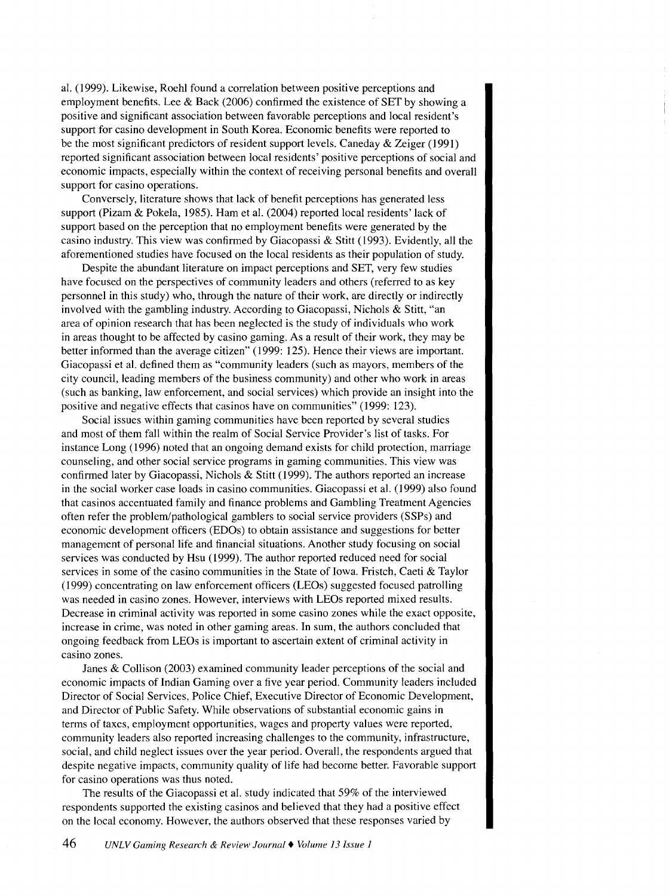al. (1999). Likewise, Roehl found a correlation between positive perceptions and employment benefits. Lee & Back (2006) confirmed the existence of SET by showing a positive and significant association between favorable perceptions and local resident's support for casino development in South Korea. Economic benefits were reported to be the most significant predictors of resident support levels. Caneday & Zeiger (1991) reported significant association between local residents' positive perceptions of social and economic impacts, especially within the context of receiving personal benefits and overall support for casino operations.

Conversely, literature shows that lack of benefit perceptions has generated less support (Pizam & Pokela, 1985). Ham et al. (2004) reported local residents' lack of support based on the perception that no employment benefits were generated by the casino industry. This view was confirmed by Giacopassi & Stitt (1993). Evidently, all the aforementioned studies have focused on the local residents as their population of study.

Despite the abundant literature on impact perceptions and SET, very few studies have focused on the perspectives of community leaders and others (referred to as key personnel in this study) who, through the nature of their work, are directly or indirectly involved with the gambling industry. According to Giacopassi, Nichols & Stitt, "an area of opinion research that has been neglected is the study of individuals who work in areas thought to be affected by casino gaming. As a result of their work, they may be better informed than the average citizen" (1999: 125). Hence their views are important. Giacopassi et al. defined them as "community leaders (such as mayors, members of the city council, leading members of the business community) and other who work in areas (such as banking, law enforcement, and social services) which provide an insight into the positive and negative effects that casinos have on communities" (1999: 123).

Social issues within gaming communities have been reported by several studies and most of them fall within the realm of Social Service Provider's list of tasks. For instance Long (1996) noted that an ongoing demand exists for child protection, marriage counseling, and other social service programs in gaming communities. This view was confirmed later by Giacopassi, Nichols & Stitt (1999). The authors reported an increase in the social worker case loads in casino communities. Giacopassi et al. ( 1999) also found that casinos accentuated family and finance problems and Gambling Treatment Agencies often refer the problem/pathological gamblers to social service providers (SSPs) and economic development officers (EDOs) to obtain assistance and suggestions for better management of personal life and financial situations. Another study focusing on social services was conducted by Hsu ( 1999). The author reported reduced need for social services in some of the casino communities in the State of Iowa. Fristch, Caeti & Taylor (1999) concentrating on law enforcement officers (LEOs) suggested focused patrolling was needed in casino zones. However, interviews with LEOs reported mixed results. Decrease in criminal activity was reported in some casino zones while the exact opposite, increase in crime, was noted in other gaming areas. In sum, the authors concluded that ongoing feedback from LEOs is important to ascertain extent of criminal activity in casino zones.

Janes & Collison (2003) examined community leader perceptions of the social and economic impacts of Indian Gaming over a five year period. Community leaders included Director of Social Services, Police Chief, Executive Director of Economic Development, and Director of Public Safety. While observations of substantial economic gains in terms of taxes, employment opportunities, wages and property values were reported, community leaders also reported increasing challenges to the community, infrastructure, social, and child neglect issues over the year period. Overall, the respondents argued that despite negative impacts, community quality of life had become better. Favorable support for casino operations was thus noted.

The results of the Giacopassi et al. study indicated that 59% of the interviewed respondents supported the existing casinos and believed that they had a positive effect on the local economy. However, the authors observed that these responses varied by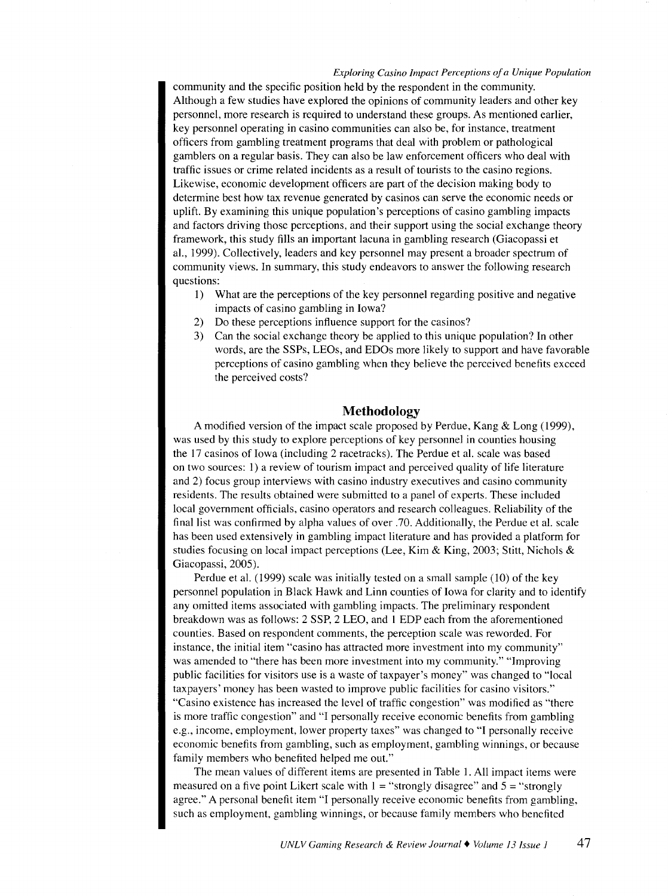#### *Exploring Casino Impact Perceptions of a Unique Population*

community and the specific position held by the respondent in the community. Although a few studies have explored the opinions of community leaders and other key personnel, more research is required to understand these groups. As mentioned earlier, key personnel operating in casino communities can also be, for instance, treatment officers from gambling treatment programs that deal with problem or pathological gamblers on a regular basis. They can also be law enforcement officers who deal with traffic issues or crime related incidents as a result of tourists to the casino regions. Likewise, economic development officers are part of the decision making body to determine best how tax revenue generated by casinos can serve the economic needs or uplift. By examining this unique population's perceptions of casino gambling impacts and factors driving those perceptions, and their support using the social exchange theory framework, this study fills an important lacuna in gambling research (Giacopassi et al., 1999). Collectively, leaders and key personnel may present a broader spectrum of community views. In summary, this study endeavors to answer the following research questions:

- 1) What are the perceptions of the key personnel regarding positive and negative impacts of casino gambling in Iowa?
- 2) Do these perceptions influence support for the casinos?
- 3) Can the social exchange theory be applied to this unique population? In other words, are the SSPs, LEOs, and EDOs more likely to support and have favorable perceptions of casino gambling when they believe the perceived benefits exceed the perceived costs?

# **Methodology**

A modified version of the impact scale proposed by Perdue, Kang  $&$  Long (1999), was used by this study to explore perceptions of key personnel in counties housing the 17 casinos of Iowa (including 2 racetracks). The Perdue et al. scale was based on two sources: 1) a review of tourism impact and perceived quality of life literature and 2) focus group interviews with casino industry executives and casino community residents. The results obtained were submitted to a panel of experts. These included local government officials, casino operators and research colleagues. Reliability of the final list was confirmed by alpha values of over .70. Additionally, the Perdue et al. scale has been used extensively in gambling impact literature and has provided a platform for studies focusing on local impact perceptions (Lee, Kim & King, 2003; Stitt, Nichols & Giacopassi, 2005).

Perdue et al.  $(1999)$  scale was initially tested on a small sample  $(10)$  of the key personnel population in Black Hawk and Linn counties of Iowa for clarity and to identify any omitted items associated with gambling impacts. The preliminary respondent breakdown was as follows: 2 SSP, 2 LEO, and 1 EDP each from the aforementioned counties. Based on respondent comments, the perception scale was reworded. For instance, the initial item "casino has attracted more investment into my community" was amended to "there has been more investment into my community." "Improving public facilities for visitors use is a waste of taxpayer's money" was changed to "local taxpayers' money has been wasted to improve public facilities for casino visitors." "Casino existence has increased the level of traffic congestion" was modified as "there is more traffic congestion" and "I personally receive economic benefits from gambling e.g., income, employment, lower property taxes" was changed to "I personally receive economic benefits from gambling, such as employment, gambling winnings, or because family members who benefited helped me out."

The mean values of different items are presented in Table 1. All impact items were measured on a five point Likert scale with  $1 =$  "strongly disagree" and  $5 =$  "strongly" agree." A personal benefit item "I personally receive economic benefits from gambling, such as employment, gambling winnings, or because family members who benefited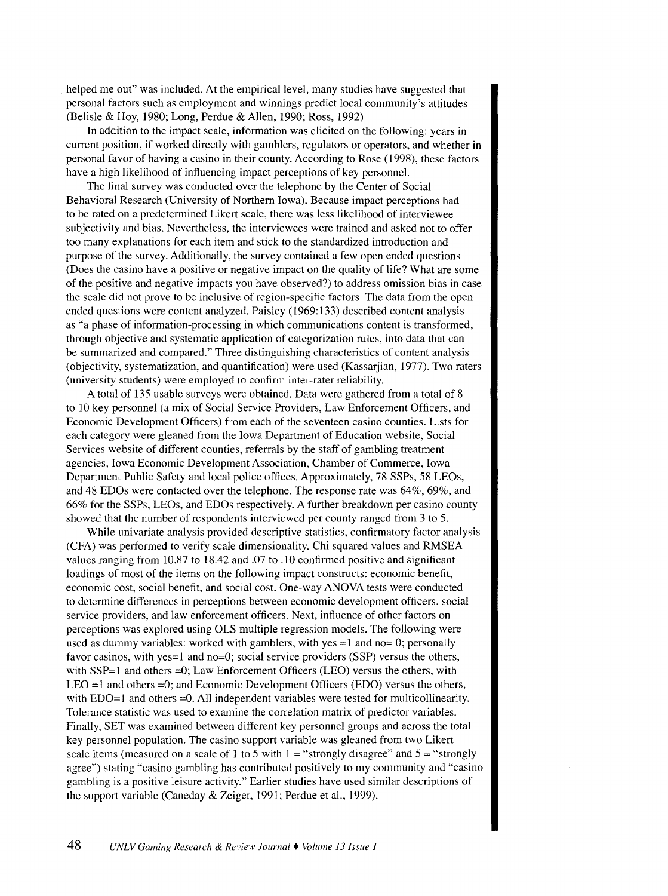helped me out" was included. At the empirical level, many studies have suggested that personal factors such as employment and winnings predict local community's attitudes (Belisle & Hoy, 1980; Long, Perdue & Allen, I990; Ross, I992)

In addition to the impact scale, information was elicited on the following: years in current position, if worked directly with gamblers, regulators or operators, and whether in personal favor of having a casino in their county. According to Rose ( I998), these factors have a high likelihood of influencing impact perceptions of key personnel.

The final survey was conducted over the telephone by the Center of Social Behavioral Research (University of Northern Iowa). Because impact perceptions had to be rated on a predetermined Likert scale, there was less likelihood of interviewee subjectivity and bias. Nevertheless, the interviewees were trained and asked not to offer too many explanations for each item and stick to the standardized introduction and purpose of the survey. Additionally, the survey contained a few open ended questions (Does the casino have a positive or negative impact on the quality of life? What are some of the positive and negative impacts you have observed?) to address omission bias in case the scale did not prove to be inclusive of region-specific factors. The data from the open ended questions were content analyzed. Paisley (1969:I33) described content analysis as "a phase of information-processing in which communications content is transformed, through objective and systematic application of categorization rules, into data that can be summarized and compared." Three distinguishing characteristics of content analysis (objectivity, systematization, and quantification) were used (Kassarjian, I977). Two raters (university students) were employed to confirm inter-rater reliability.

A total of 135 usable surveys were obtained. Data were gathered from a total of 8 to IO key personnel (a mix of Social Service Providers, Law Enforcement Officers, and Economic Development Officers) from each of the seventeen casino counties. Lists for each category were gleaned from the Iowa Department of Education website, Social Services website of different counties, referrals by the staff of gambling treatment agencies, Iowa Economic Development Association, Chamber of Commerce, Iowa Department Public Safety and local police offices. Approximately, 78 SSPs, 58 LEOs, and 48 EDOs were contacted over the telephone. The response rate was 64%, 69%, and 66% for the SSPs, LEOs, and EDOs respectively. A further breakdown per casino county showed that the number of respondents interviewed per county ranged from 3 to 5.

While univariate analysis provided descriptive statistics, confirmatory factor analysis (CFA) was performed to verify scale dimensionality. Chi squared values and RMSEA values ranging from 10.87 to 18.42 and .07 to .10 confirmed positive and significant loadings of most of the items on the following impact constructs: economic benefit, economic cost, social benefit, and social cost. One-way ANOVA tests were conducted to determine differences in perceptions between economic development officers, social service providers, and law enforcement officers. Next, influence of other factors on perceptions was explored using OLS multiple regression models. The following were used as dummy variables: worked with gamblers, with yes  $=1$  and no= 0; personally favor casinos, with yes=1 and no=0; social service providers (SSP) versus the others, with  $SSP=1$  and others  $=0$ ; Law Enforcement Officers (LEO) versus the others, with LEO =1 and others =0; and Economic Development Officers (EDO) versus the others, with EDO=1 and others =0. All independent variables were tested for multicollinearity. Tolerance statistic was used to examine the correlation matrix of predictor variables. Finally, SET was examined between different key personnel groups and across the total key personnel population. The casino support variable was gleaned from two Likert scale items (measured on a scale of 1 to 5 with  $1 =$  "strongly disagree" and  $5 =$  "strongly agree") stating "casino gambling has contributed positively to my community and "casino gambling is a positive leisure activity." Earlier studies have used similar descriptions of the support variable (Caneday & Zeiger, I99I; Perdue et al., I999).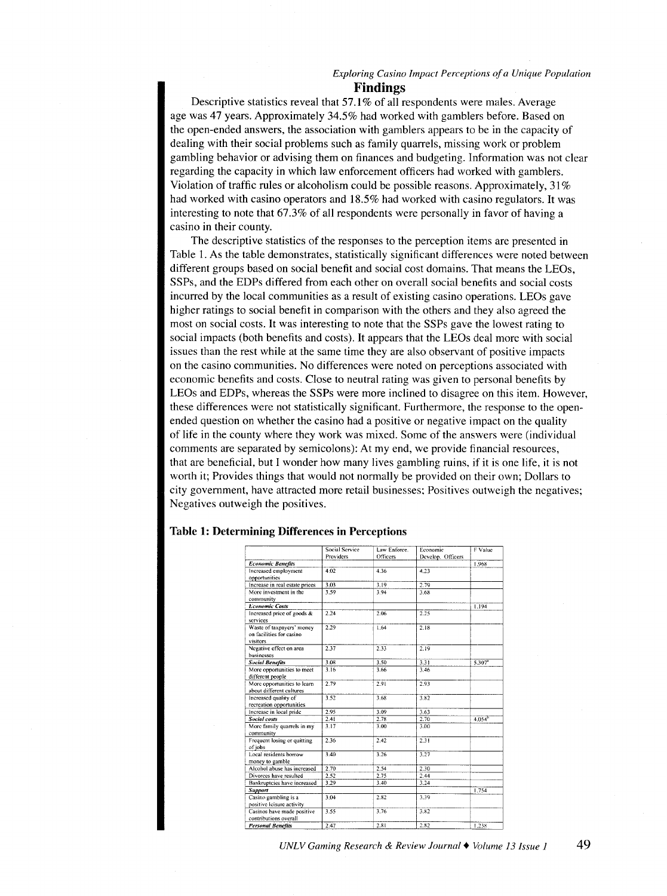#### *Exploring Casino Impact Perceptions of a Unique Population*  **Findings**

Descriptive statistics reveal that 57.1% of all respondents were males. Average age was 47 years. Approximately 34.5% had worked with gamblers before. Based on the open-ended answers, the association with gamblers appears to be in the capacity of dealing with their social problems such as family quarrels, missing work or problem gambling behavior or advising them on finances and budgeting. Information was not clear regarding the capacity in which law enforcement officers had worked with gamblers. Violation of traffic rules or alcoholism could be possible reasons. Approximately, 31% had worked with casino operators and 18.5% had worked with casino regulators. It was interesting to note that 67.3% of all respondents were personally in favor of having a casino in their county.

The descriptive statistics of the responses to the perception items are presented in Table 1. As the table demonstrates, statistically significant differences were noted between different groups based on social benefit and social cost domains. That means the LEOs, SSPs, and the EDPs differed from each other on overall social benefits and social costs incurred by the local communities as a result of existing casino operations. LEOs gave higher ratings to social benefit in comparison with the others and they also agreed the most on social costs. It was interesting to note that the SSPs gave the lowest rating to social impacts (both benefits and costs). It appears that the LEOs deal more with social issues than the rest while at the same time they are also observant of positive impacts on the casino communities. No differences were noted on perceptions associated with economic benefits and costs. Close to neutral rating was given to personal benefits by LEOs and EDPs, whereas the SSPs were more inclined to disagree on this item. However, these differences were not statistically significant. Furthermore, the response to the openended question on whether the casino had a positive or negative impact on the quality of life in the county where they work was mixed. Some of the answers were (individual comments are separated by semicolons): At my end, we provide financial resources, that are beneficial, but I wonder how many lives gambling ruins, if it is one life, it is not worth it; Provides things that would not normally be provided on their own; Dollars to city government, have attracted more retail businesses; Positives outweigh the negatives; Negatives outweigh the positives.

|                                | <b>Social Service</b> | Law Enforce. | Economic          | F Value              |
|--------------------------------|-----------------------|--------------|-------------------|----------------------|
|                                | Providers<br>Officers |              | Develop. Officers |                      |
| <b>Economic Benefits</b>       |                       |              |                   | 1.968                |
| Increased employment           | 4.02                  | 4.36         | 4.23              |                      |
| opportunities                  |                       |              |                   |                      |
| Increase in real estate prices | 3.03                  | 3.19         | 2.79              |                      |
| More investment in the         | 3.59                  | 3.94         | 3.68              |                      |
| community                      |                       |              |                   |                      |
| <b>Economic Costs</b>          |                       |              |                   | 1.194                |
| Increased price of goods &     | 2.24                  | 2.06         | $\overline{2.25}$ |                      |
| services                       |                       |              |                   |                      |
| Waste of taxpayers' money      | 2.29                  | 1.64         | 2.18              |                      |
| on facilities for casino       |                       |              |                   |                      |
| visitors                       |                       |              |                   |                      |
| Negative effect on area        | 2.37                  | 2.33         | 2.19              |                      |
| businesses                     |                       |              |                   |                      |
| <b>Social Benefits</b>         | 3.08                  | 3.50         | 3.31              | $5.307^{\circ}$      |
| More opportunities to meet     | 3.16                  | 3.66         | 3.46              |                      |
| different people               |                       |              |                   |                      |
| More opportunities to learn    | 2.79                  | 2.91         | 2.93              |                      |
| about different cultures       |                       |              |                   |                      |
| Increased quality of           | 3.52                  | 3.68         | 3.82              |                      |
| recreation opportunities       |                       |              |                   |                      |
| Increase in local pride        | 2.95                  | 3.09         | 3.63              |                      |
| <b>Social costs</b>            | 2.41                  | 2.78         | 2.70              | $4.054$ <sup>b</sup> |
| More family quarrels in my     | 3.17                  | 3.00         | 3.00              |                      |
| community                      |                       |              |                   |                      |
| Frequent losing or quitting    | 2.36                  | 2.42         | 2.31              |                      |
| of iobs                        |                       |              |                   |                      |
| Local residents borrow         | 3.40                  | 3.26         | 3.27              |                      |
| money to gamble                |                       |              |                   |                      |
| Alcohol abuse has increased    | 2.70                  | 2.54         | 2.30              |                      |
| Divorces have resulted         | 2.52                  | 2.75         | 2.44              |                      |
| Bankruptcies have increased    | 3.29                  | 3.40         | 3,24              |                      |
| Support                        |                       |              |                   | 1.754                |
| Casino gambling is a           | 3.04                  | 2.82         | 3.39              |                      |
| positive leisure activity      |                       |              |                   |                      |
| Casinos have made positive     | 3.55                  | 3.76         | 3.82              |                      |
| contributions overall          |                       |              |                   |                      |
| <b>Personal Benefits</b>       | 2.47                  | 2.81         | 2.82              | 1.238                |

#### Table **1:** Determining Differences **in** Perceptions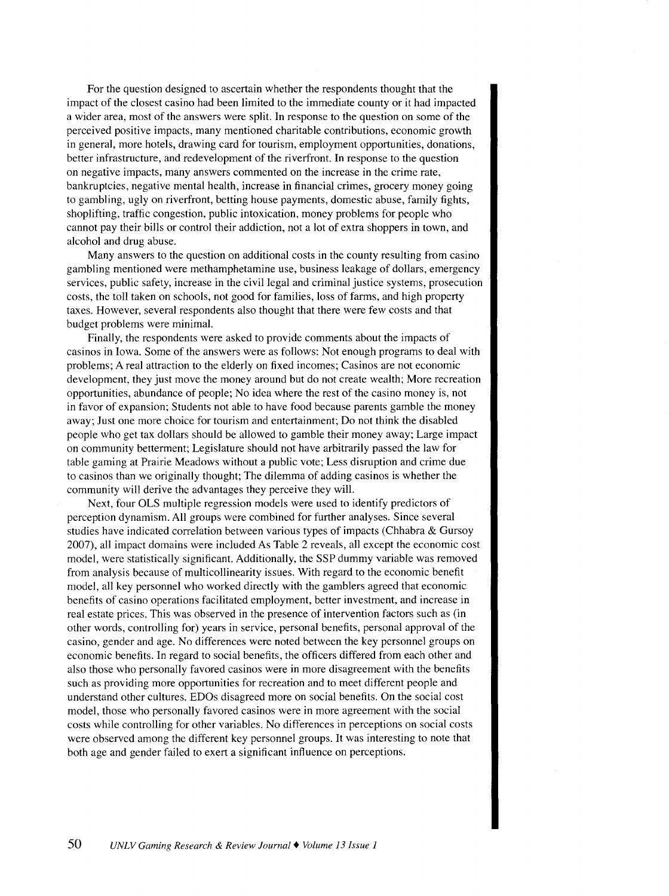For the question designed to ascertain whether the respondents thought that the impact of the closest casino had been limited to the immediate county or it had impacted a wider area, most of the answers were split. In response to the question on some of the perceived positive impacts, many mentioned charitable contributions, economic growth in general, more hotels, drawing card for tourism, employment opportunities, donations, better infrastructure, and redevelopment of the riverfront. In response to the question on negative impacts, many answers commented on the increase in the crime rate, bankruptcies, negative mental health, increase in financial crimes, grocery money going to gambling, ugly on riverfront, betting house payments, domestic abuse, family fights, shoplifting, traffic congestion, public intoxication, money problems for people who cannot pay their bills or control their addiction, not a lot of extra shoppers in town, and alcohol and drug abuse.

Many answers to the question on additional costs in the county resulting from casino gambling mentioned were methamphetamine use, business leakage of dollars, emergency services, public safety, increase in the civil legal and criminal justice systems, prosecution costs, the toll taken on schools, not good for families, loss of farms, and high property taxes. However, several respondents also thought that there were few costs and that budget problems were minimal.

Finally, the respondents were asked to provide comments about the impacts of casinos in Iowa. Some of the answers were as follows: Not enough programs to deal with problems; A real attraction to the elderly on fixed incomes; Casinos are not economic development, they just move the money around but do not create wealth; More recreation opportunities, abundance of people; No idea where the rest of the casino money is, not in favor of expansion; Students not able to have food because parents gamble the money away; Just one more choice for tourism and entertainment; Do not think the disabled people who get tax dollars should be allowed to gamble their money away; Large impact on community betterment; Legislature should not have arbitrarily passed the law for table gaming at Prairie Meadows without a public vote; Less disruption and crime due to casinos than we originally thought; The dilemma of adding casinos is whether the community will derive the advantages they perceive they will.

Next, four OLS multiple regression models were used to identify predictors of perception dynamism. All groups were combined for further analyses. Since several studies have indicated correlation between various types of impacts (Chhabra & Gursoy 2007), all impact domains were included As Table 2 reveals, all except the economic cost model, were statistically significant. Additionally, the SSP dummy variable was removed from analysis because of multicollinearity issues. With regard to the economic benefit model, all key personnel who worked directly with the gamblers agreed that economic benefits of casino operations facilitated employment, better investment, and increase in real estate prices. This was observed in the presence of intervention factors such as (in other words, controlling for) years in service, personal benefits, personal approval of the casino, gender and age. No differences were noted between the key personnel groups on economic benefits. In regard to social benefits, the officers differed from each other and also those who personally favored casinos were in more disagreement with the benefits such as providing more opportunities for recreation and to meet different people and understand other cultures. EDOs disagreed more on social benefits. On the social cost model, those who personally favored casinos were in more agreement with the social costs while controlling for other variables. No differences in perceptions on social costs were observed among the different key personnel groups. It was interesting to note that both age and gender failed to exert a significant influence on perceptions.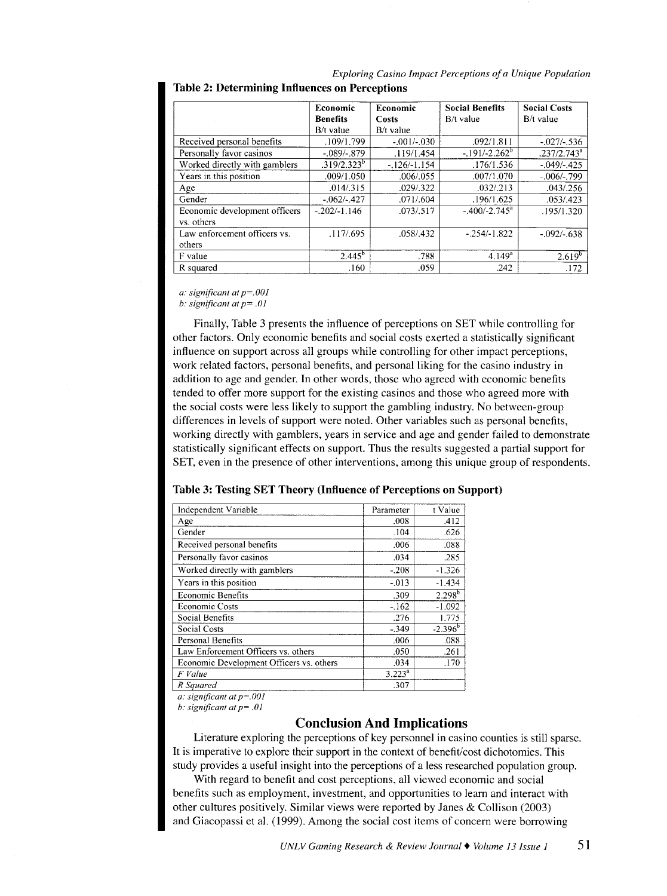|                                             | Economic        | Economic        | <b>Social Benefits</b> | <b>Social Costs</b> |
|---------------------------------------------|-----------------|-----------------|------------------------|---------------------|
|                                             | <b>Benefits</b> | Costs           | $B/t$ value            | $B/t$ value         |
|                                             | B/t value       | B/t value       |                        |                     |
| Received personal benefits                  | .109/1.799      | $-0.01 / 0.030$ | .092/1.811             | $-027/0.536$        |
| Personally favor casinos                    | $-.089/-.879$   | .119/1.454      | $-191/-2.262^b$        | $.237/2.743^a$      |
| Worked directly with gamblers               | $.319/2.323^b$  | $-126/1.154$    | .176/1.536             | $-.049/-0425$       |
| Years in this position                      | .009/1.050      | .006 / .055     | .007/1.070             | $-.006/-0.799$      |
| Age                                         | .014/.315       | .029/.322       | .032/.213              | .043/0.256          |
| Gender                                      | $-062/-027$     | .071/.604       | .196/1.625             | .053/0.423          |
| Economic development officers<br>vs. others | $-.202/-1.146$  | .073/0.517      | $-400/-2.745^{\circ}$  | .195/1.320          |
| Law enforcement officers vs.<br>others      | .117/.695       | .058/.432       | $-0.254/-1.822$        | $-.092/-0.638$      |
| F value                                     | $2.445^{b}$     | .788            | $4.149^{a}$            | $2.619^{b}$         |
| R squared                                   | .160            | .059            | .242                   | .172                |

*Exploring Casino Impact Perceptions of a Unique Population*  Table 2: Determining Influences on Perceptions

*a: significant at p=.OOJ* 

*b: significant at p= .OJ* 

Finally, Table 3 presents the influence of perceptions on SET while controlling for other factors. Only economic benefits and social costs exerted a statistically significant influence on support across all groups while controlling for other impact perceptions, work related factors, personal benefits, and personal liking for the casino industry in addition to age and gender. In other words, those who agreed with economic benefits tended to offer more support for the existing casinos and those who agreed more with the social costs were less likely to support the gambling industry. No between-group differences in levels of support were noted. Other variables such as personal benefits, working directly with gamblers, years in service and age and gender failed to demonstrate statistically significant effects on support. Thus the results suggested a partial support for SET, even in the presence of other interventions, among this unique group of respondents.

## Table 3: Testing SET Theory (Influence of Perceptions on Support)

| Independent Variable                     | Parameter | t Value     |
|------------------------------------------|-----------|-------------|
| Age                                      | .008      | .412        |
| Gender                                   | .104      | .626        |
| Received personal benefits               | .006      | .088        |
| Personally favor casinos                 | .034      | .285        |
| Worked directly with gamblers            | $-208$    | $-1.326$    |
| Years in this position                   | $-.013$   | $-1.434$    |
| <b>Economic Benefits</b>                 | .309      | $2.298^{b}$ |
| <b>Economic Costs</b>                    | $-162$    | $-1.092$    |
| Social Benefits                          | .276      | 1.775       |
| <b>Social Costs</b>                      | $-.349$   | $-2.396^b$  |
| Personal Benefits                        | .006      | .088        |
| Law Enforcement Officers vs. others      | .050      | .261        |
| Economic Development Officers vs. others | .034      | .170        |
| F Value                                  | $3.223^a$ |             |
| R Sauared                                | .307      |             |

*a: significant at p=.OOJ* 

*b: significant at p= .OJ* 

# Conclusion And Implications

Literature exploring the perceptions of key personnel in casino counties is still sparse. It is imperative to explore their support in the context of benefit/cost dichotomies. This study provides a useful insight into the perceptions of a less researched population group.

With regard to benefit and cost perceptions, all viewed economic and social benefits such as employment, investment, and opportunities to learn and interact with other cultures positively. Similar views were reported by Janes & Collison (2003) and Giacopassi et al. (1999). Among the social cost items of concern were borrowing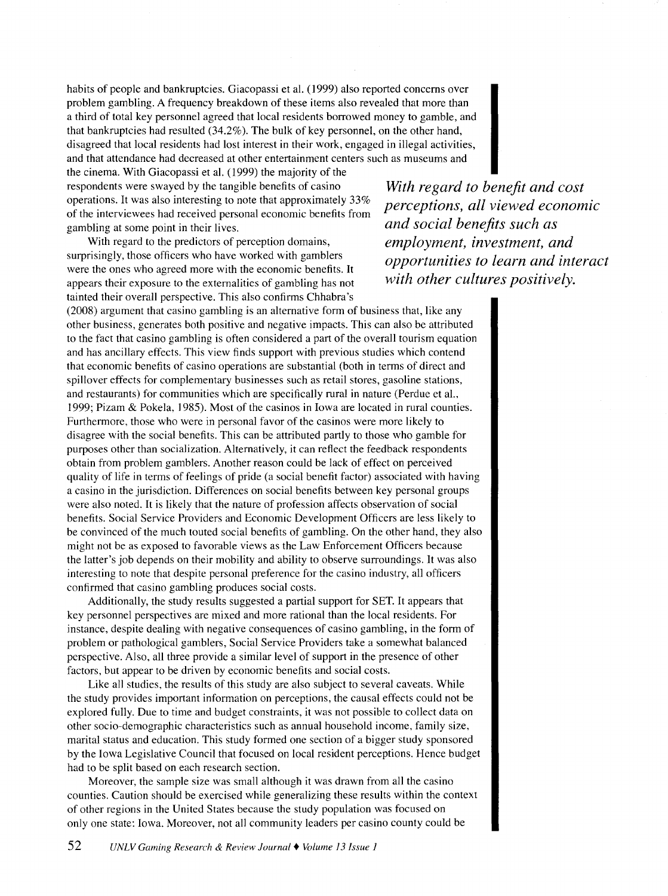habits of people and bankruptcies. Giacopassi et al. (1999) also reported concerns over problem gambling. A frequency breakdown of these items also revealed that more than a third of total key personnel agreed that local residents borrowed money to gamble, and that bankruptcies had resulted (34.2% ). The bulk of key personnel, on the other hand, disagreed that local residents had lost interest in their work, engaged in illegal activities, and that attendance had decreased at other entertainment centers such as museums and

the cinema. With Giacopassi et al. (1999) the majority of the respondents were swayed by the tangible benefits of casino operations. It was also interesting to note that approximately 33% of the interviewees had received personal economic benefits from gambling at some point in their lives.

With regard to the predictors of perception domains, surprisingly, those officers who have worked with gamblers were the ones who agreed more with the economic benefits. It appears their exposure to the externalities of gambling has not tainted their overall perspective. This also confirms Chhabra's

(2008) argument that casino gambling is an alternative form of business that, like any other business, generates both positive and negative impacts. This can also be attributed to the fact that casino gambling is often considered a part of the overall tourism equation and has ancillary effects. This view finds support with previous studies which contend that economic benefits of casino operations are substantial (both in terms of direct and spillover effects for complementary businesses such as retail stores, gasoline stations, and restaurants) for communities which are specifically rural in nature (Perdue eta!., 1999; Pizam & Pokela, 1985). Most of the casinos in Iowa are located in rural counties. Furthermore, those who were in personal favor of the casinos were more likely to disagree with the social benefits. This can be attributed partly to those who gamble for purposes other than socialization. Alternatively, it can reflect the feedback respondents obtain from problem gamblers. Another reason could be lack of effect on perceived quality of life in terms of feelings of pride (a social benefit factor) associated with having a casino in the jurisdiction. Differences on social benefits between key personal groups were also noted. It is likely that the nature of profession affects observation of social benefits. Social Service Providers and Economic Development Officers are less likely to be convinced of the much touted social benefits of gambling. On the other hand, they also might not be as exposed to favorable views as the Law Enforcement Officers because the latter's job depends on their mobility and ability to observe surroundings. It was also interesting to note that despite personal preference for the casino industry, all officers confirmed that casino gambling produces social costs.

Additionally, the study results suggested a partial support for SET. It appears that key personnel perspectives are mixed and more rational than the local residents. For instance, despite dealing with negative consequences of casino gambling, in the form of problem or pathological gamblers, Social Service Providers take a somewhat balanced perspective. Also, all three provide a similar level of support in the presence of other factors, but appear to be driven by economic benefits and social costs.

Like all studies, the results of this study are also subject to several caveats. While the study provides important information on perceptions, the causal effects could not be explored fully. Due to time and budget constraints, it was not possible to collect data on other socio-demographic characteristics such as annual household income, family size, marital status and education. This study formed one section of a bigger study sponsored by the Iowa Legislative Council that focused on local resident perceptions. Hence budget had to be split based on each research section.

Moreover, the sample size was small although it was drawn from all the casino counties. Caution should be exercised while generalizing these results within the context of other regions in the United States because the study population was focused on only one state: Iowa. Moreover, not all community leaders per casino county could be

*With regard to benefit and cost perceptions, all viewed economic and social benefits such as employment, investment, and opportunities to learn and interact with other cultures positively.*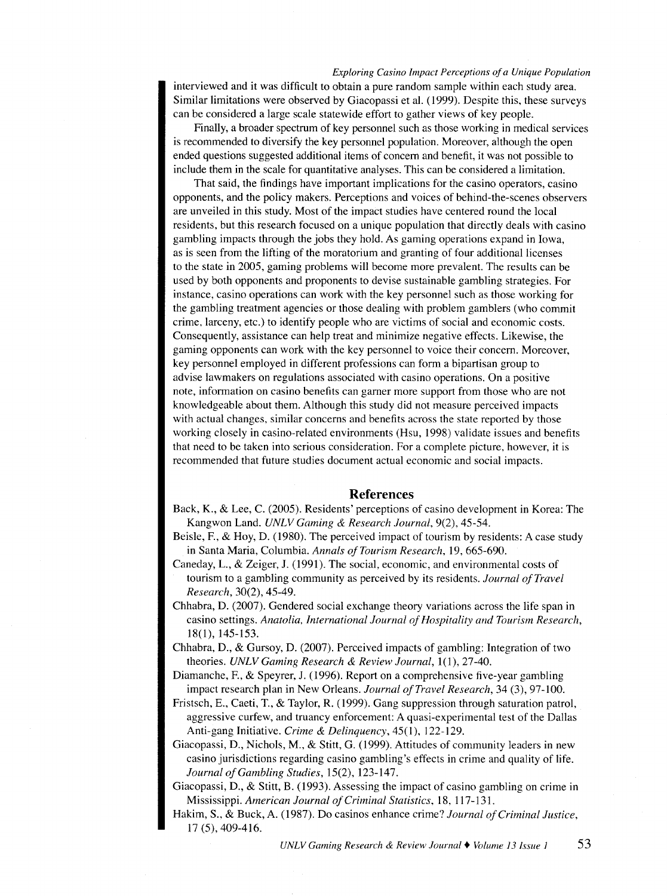## *Exploring Casino Impact Perceptions of a Unique Population*

interviewed and it was difficult to obtain a pure random sample within each study area. Similar limitations were observed by Giacopassi et al. (1999). Despite this, these surveys can be considered a large scale statewide effort to gather views of key people.

Finally, a broader spectrum of key personnel such as those working in medical services is recommended to diversify the key personnel population. Moreover, although the open ended questions suggested additional items of concern and benefit, it was not possible to include them in the scale for quantitative analyses. This can be considered a limitation.

That said, the findings have important implications for the casino operators, casino opponents, and the policy makers. Perceptions and voices of behind-the-scenes observers are unveiled in this study. Most of the impact studies have centered round the local residents, but this research focused on a unique population that directly deals with casino gambling impacts through the jobs they hold. As gaming operations expand in Iowa, as is seen from the lifting of the moratorium and granting of four additional licenses to the state in 2005, gaming problems will become more prevalent. The results can be used by both opponents and proponents to devise sustainable gambling strategies. For instance, casino operations can work with the key personnel such as those working for the gambling treatment agencies or those dealing with problem gamblers (who commit crime, larceny, etc.) to identify people who are victims of social and economic costs. Consequently, assistance can help treat and minimize negative effects. Likewise, the gaming opponents can work with the key personnel to voice their concern. Moreover, key personnel employed in different professions can form a bipartisan group to advise lawmakers on regulations associated with casino operations. On a positive note, information on casino benefits can gamer more support from those who are not knowledgeable about them. Although this study did not measure perceived impacts with actual changes, similar concerns and benefits across the state reported by those working closely in casino-related environments (Hsu, 1998) validate issues and benefits that need to be taken into serious consideration. For a complete picture, however, it is recommended that future studies document actual economic and social impacts.

#### **References**

- Back, K., & Lee, C. (2005). Residents' perceptions of casino development in Korea: The Kangwon Land. *UNLV Gaming* & *Research Journal,* 9(2), 45-54.
- Beisle, F., & Hoy, D. (1980). The perceived impact of tourism by residents: A case study in Santa Maria, Columbia. *Annals of Tourism Research,* 19, 665-690.
- Caneday, L., & Zeiger, J. (1991). The social, economic, and environmental costs of tourism to a gambling community as perceived by its residents. *Journal of Travel Research,* 30(2), 45-49.
- Chhabra, D. (2007). Gendered social exchange theory variations across the life span in casino settings. *Anatolia, International Journal of Hospitality and Tourism Research,*  18(1), 145-153.
- Chhabra, D., & Gursoy, D. (2007). Perceived impacts of gambling: Integration of two theories. *UNLV Gaming Research* & *Review Journal,* 1(1), 27-40.
- Diamanche, F., & Speyrer, J. (1996). Report on a comprehensive five-year gambling impact research plan in New Orleans. *Journal of Travel Research,* 34 (3), 97-100.
- Fristsch, E., Caeti, T., & Taylor, R. (1999). Gang suppression through saturation patrol, aggressive curfew, and truancy enforcement: A quasi-experimental test of the Dallas Anti-gang Initiative. *Crime* & *Delinquency,* 45(1 ), 122-129.
- Giacopassi, D., Nichols, M., & Stitt, G. (1999). Attitudes of community leaders in new casino jurisdictions regarding casino gambling's effects in crime and quality of life. *Journal of Gambling Studies,* 15(2), 123-147.
- Giacopassi, D., & Stitt, B. (1993). Assessing the impact of casino gambling on crime in Mississippi. *American Journal of Criminal Statistics,* 18, 117-131.
- Hakim, S., & Buck, A. (1987). Do casinos enhance crime? *Journal of Criminal Justice,*  17 (5), 409-416.